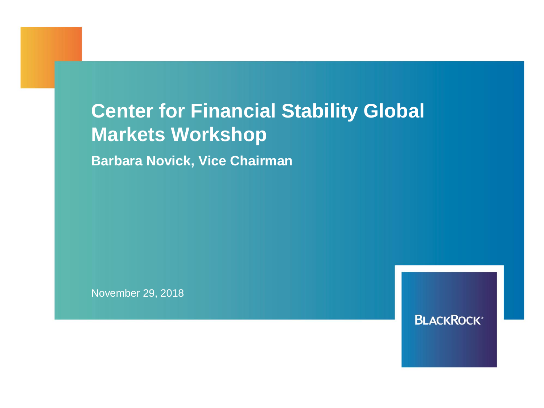# **Center for Financial Stability Global Markets Workshop**

**Barbara Novick, Vice Chairman**

November 29, 2018

**BLACKROCK®**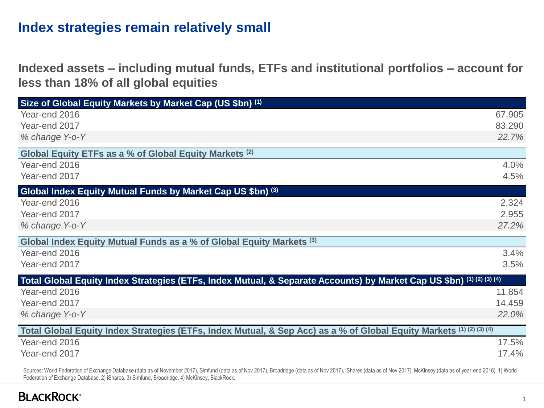## **Index strategies remain relatively small**

**Indexed assets – including mutual funds, ETFs and institutional portfolios – account for less than 18% of all global equities**

| Size of Global Equity Markets by Market Cap (US \$bn) (1)                                                             |        |
|-----------------------------------------------------------------------------------------------------------------------|--------|
| Year-end 2016                                                                                                         | 67,905 |
| Year-end 2017                                                                                                         | 83,290 |
| % change Y-o-Y                                                                                                        | 22.7%  |
| Global Equity ETFs as a % of Global Equity Markets (2)                                                                |        |
| Year-end 2016                                                                                                         | 4.0%   |
| Year-end 2017                                                                                                         | 4.5%   |
| Global Index Equity Mutual Funds by Market Cap US \$bn) (3)                                                           |        |
| Year-end 2016                                                                                                         | 2,324  |
| Year-end 2017                                                                                                         | 2,955  |
| % change Y-o-Y                                                                                                        | 27.2%  |
| Global Index Equity Mutual Funds as a % of Global Equity Markets (3)                                                  |        |
| Year-end 2016                                                                                                         | 3.4%   |
| Year-end 2017                                                                                                         | 3.5%   |
| Total Global Equity Index Strategies (ETFs, Index Mutual, & Separate Accounts) by Market Cap US \$bn) (1) (2) (3) (4) |        |
| Year-end 2016                                                                                                         | 11,854 |
| Year-end 2017                                                                                                         | 14,459 |
| % change Y-o-Y                                                                                                        | 22.0%  |
| Total Global Equity Index Strategies (ETFs, Index Mutual, & Sep Acc) as a % of Global Equity Markets (1) (2) (3) (4)  |        |
| Year-end 2016                                                                                                         | 17.5%  |
| Year-end 2017                                                                                                         | 17.4%  |

Sources: World Federation of Exchange Database (data as of November 2017), Simfund (data as of Nov 2017), Broadridge (data as of Nov 2017), iShares (data as of Nov 2017), McKinsey (data as of year-end 2016). 1) World Federation of Exchange Database. 2) iShares. 3) Simfund, Broadridge. 4) McKinsey, BlackRock.

#### **BLACKROCK®**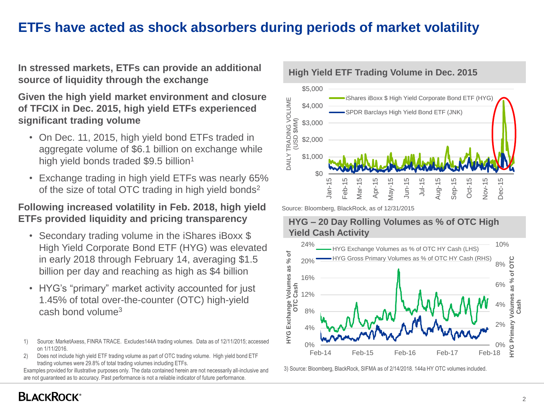## **ETFs have acted as shock absorbers during periods of market volatility**

**High Yield ETF Trading Volume in Dec. 2015 In stressed markets, ETFs can provide an additional source of liquidity through the exchange** 

**Given the high yield market environment and closure of TFCIX in Dec. 2015, high yield ETFs experienced significant trading volume**

- On Dec. 11, 2015, high yield bond ETFs traded in aggregate volume of \$6.1 billion on exchange while high yield bonds traded \$9.5 billion<sup>1</sup>
- Exchange trading in high yield ETFs was nearly 65% of the size of total OTC trading in high yield bonds<sup>2</sup>

#### **Following increased volatility in Feb. 2018, high yield ETFs provided liquidity and pricing transparency**

- Secondary trading volume in the iShares iBoxx \$ High Yield Corporate Bond ETF (HYG) was elevated in early 2018 through February 14, averaging \$1.5 billion per day and reaching as high as \$4 billion
- HYG's "primary" market activity accounted for just 1.45% of total over-the-counter (OTC) high-yield cash bond volume<sup>3</sup>

2) Does not include high yield ETF trading volume as part of OTC trading volume. High yield bond ETF trading volumes were 29.8% of total trading volumes including ETFs.

Examples provided for illustrative purposes only. The data contained herein are not necessarily all-inclusive and are not guaranteed as to accuracy. Past performance is not a reliable indicator of future performance.



Source: Bloomberg, BlackRock, as of 12/31/2015

#### **HYG – 20 Day Rolling Volumes as % of OTC High Yield Cash Activity**



3) Source: Bloomberg, BlackRock, SIFMA as of 2/14/2018. 144a HY OTC volumes included.

<sup>1)</sup> Source: MarketAxess, FINRA TRACE. Excludes144A trading volumes. Data as of 12/11/2015; accessed on 1/11/2016.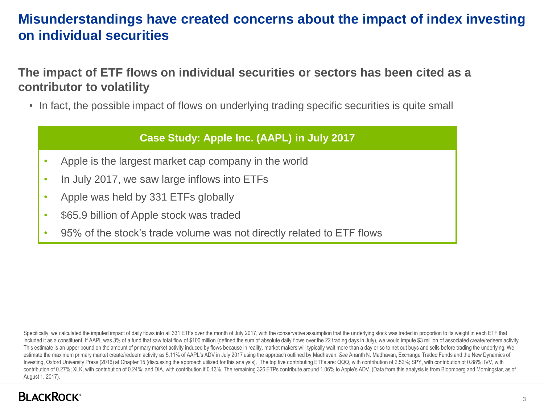# **Misunderstandings have created concerns about the impact of index investing on individual securities**

**The impact of ETF flows on individual securities or sectors has been cited as a contributor to volatility**

• In fact, the possible impact of flows on underlying trading specific securities is quite small

#### **Case Study: Apple Inc. (AAPL) in July 2017**

- Apple is the largest market cap company in the world
- In July 2017, we saw large inflows into ETFs
- Apple was held by 331 ETFs globally
- \$65.9 billion of Apple stock was traded
- 95% of the stock's trade volume was not directly related to ETF flows

Specifically, we calculated the imputed impact of daily flows into all 331 ETFs over the month of July 2017, with the conservative assumption that the underlying stock was traded in proportion to its weight in each ETF tha included it as a constituent. If AAPL was 3% of a fund that saw total flow of \$100 million (defined the sum of absolute daily flows over the 22 trading days in July), we would impute \$3 million of associated create/redeem This estimate is an upper bound on the amount of primary market activity induced by flows because in reality, market makers will typically wait more than a day or so to net out buys and sells before trading the underlying. estimate the maximum primary market create/redeem activity as 5.11% of AAPL's ADV in July 2017 using the approach outlined by Madhavan. *See* Ananth N. Madhavan, Exchange Traded Funds and the New Dynamics of Investing, Oxford University Press (2016) at Chapter 15 (discussing the approach utilized for this analysis). The top five contributiong ETFs are: QQQ, with contribution of 2.52%; SPY, with contribution of 0.88%; IVV, with contribution of 0.27%; XLK, with contribution of 0.24%; and DIA, with contribution if 0.13%. The remaining 326 ETPs contribute around 1.06% to Apple's ADV. (Data from this analysis is from Bloomberg and Morningstar, as of August 1, 2017).

#### **BLACKROCK®**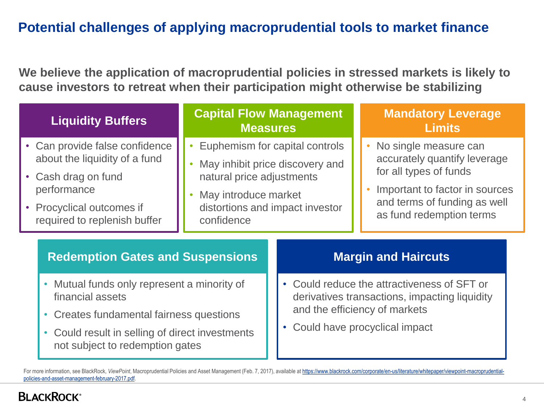# **Potential challenges of applying macroprudential tools to market finance**

**We believe the application of macroprudential policies in stressed markets is likely to cause investors to retreat when their participation might otherwise be stabilizing**

| <b>Liquidity Buffers</b>                                                                                                                                                                                                           | <b>Capital Flow Management</b><br><b>Measures</b>                                                                                                                       |  | <b>Mandatory Leverage</b><br><b>Limits</b>                                                                                                                                      |
|------------------------------------------------------------------------------------------------------------------------------------------------------------------------------------------------------------------------------------|-------------------------------------------------------------------------------------------------------------------------------------------------------------------------|--|---------------------------------------------------------------------------------------------------------------------------------------------------------------------------------|
| • Can provide false confidence<br>about the liquidity of a fund<br>• Cash drag on fund<br>performance<br>• Procyclical outcomes if<br>required to replenish buffer                                                                 | Euphemism for capital controls<br>May inhibit price discovery and<br>natural price adjustments<br>May introduce market<br>distortions and impact investor<br>confidence |  | • No single measure can<br>accurately quantify leverage<br>for all types of funds<br>Important to factor in sources<br>and terms of funding as well<br>as fund redemption terms |
| <b>Redemption Gates and Suspensions</b>                                                                                                                                                                                            |                                                                                                                                                                         |  | <b>Margin and Haircuts</b>                                                                                                                                                      |
| Mutual funds only represent a minority of<br>$\bullet$<br>financial assets<br>Creates fundamental fairness questions<br>$\bullet$<br>Could result in selling of direct investments<br>$\bullet$<br>not subject to redemption gates |                                                                                                                                                                         |  | • Could reduce the attractiveness of SFT or<br>derivatives transactions, impacting liquidity<br>and the efficiency of markets<br>• Could have procyclical impact                |

For more information, see BlackRock, *ViewPoint*[, Macroprudential Policies and Asset Management \(Feb. 7, 2017\), available at https://www.blackrock.com/corporate/en-us/literature/whitepaper/viewpoint-macroprudential](https://www.blackrock.com/corporate/en-us/literature/whitepaper/viewpoint-macroprudential-policies-and-asset-management-february-2017.pdf)policies-and-asset-management-february-2017.pdf.

#### **BLACKROCK**<sup>®</sup>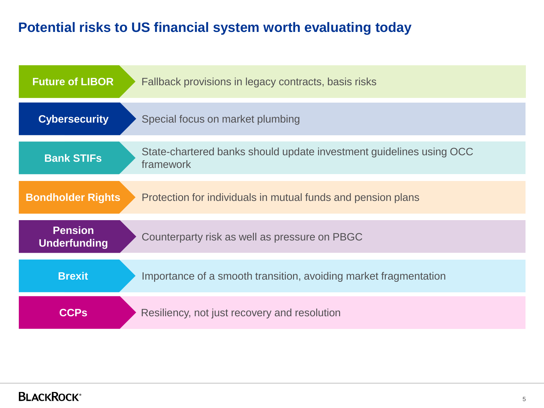# **Potential risks to US financial system worth evaluating today**

| <b>Future of LIBOR</b>                | Fallback provisions in legacy contracts, basis risks                             |
|---------------------------------------|----------------------------------------------------------------------------------|
| <b>Cybersecurity</b>                  | Special focus on market plumbing                                                 |
| <b>Bank STIFs</b>                     | State-chartered banks should update investment guidelines using OCC<br>framework |
| <b>Bondholder Rights</b>              | Protection for individuals in mutual funds and pension plans                     |
| <b>Pension</b><br><b>Underfunding</b> | Counterparty risk as well as pressure on PBGC                                    |
| <b>Brexit</b>                         | Importance of a smooth transition, avoiding market fragmentation                 |
| <b>CCPs</b>                           | Resiliency, not just recovery and resolution                                     |